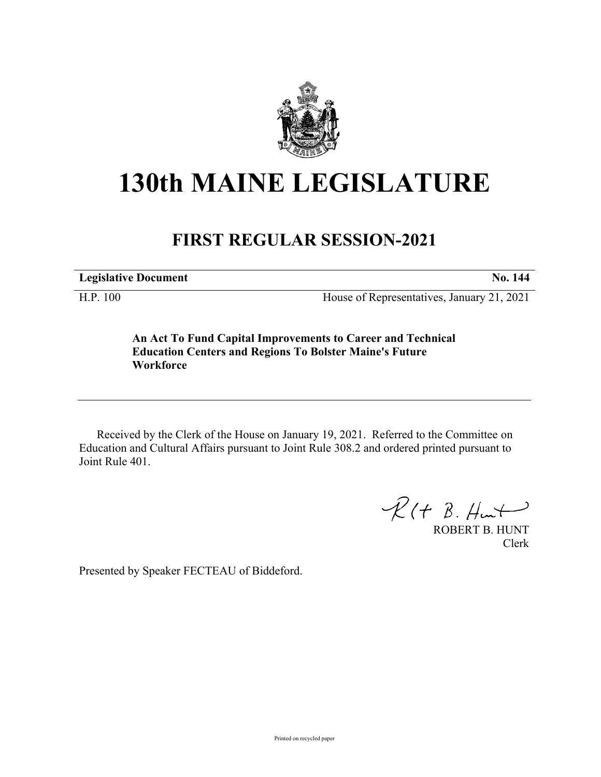

## **130th MAINE LEGISLATURE**

## **FIRST REGULAR SESSION-2021**

**Legislative Document No. 144**

H.P. 100 House of Representatives, January 21, 2021

**An Act To Fund Capital Improvements to Career and Technical Education Centers and Regions To Bolster Maine's Future Workforce**

Received by the Clerk of the House on January 19, 2021. Referred to the Committee on Education and Cultural Affairs pursuant to Joint Rule 308.2 and ordered printed pursuant to Joint Rule 401.

 $R(H B. H<sub>un</sub>)$ 

ROBERT B. HUNT Clerk

Presented by Speaker FECTEAU of Biddeford.